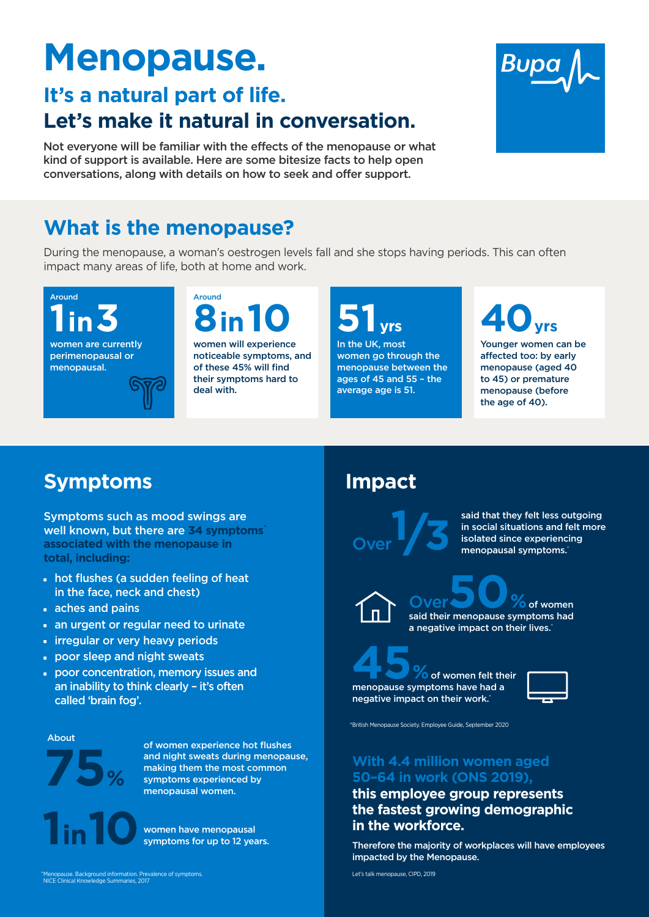# **Menopause.**

# **It's a natural part of life. Let's make it natural in conversation.**

Not everyone will be familiar with the effects of the menopause or what kind of support is available. Here are some bitesize facts to help open conversations, along with details on how to seek and offer support.



During the menopause, a woman's oestrogen levels fall and she stops having periods. This can often impact many areas of life, both at home and work.

- I hot flushes (a sudden feeling of heat in the face, neck and chest)
- $\blacksquare$  aches and pains
- an urgent or regular need to urinate
- **Firregular or very heavy periods**
- Door sleep and night sweats
- Door concentration, memory issues and an inability to think clearly – it's often

Symptoms such as mood swings are well known, but there are **34 symptoms^ associated with the menopause in total, including:**

#### called 'brain fog'.

negative impact on their work.<sup>\*</sup>



**1 10** women have menopausal symptoms for up to 12 years. **With 4.4 million women aged 50–64 in work (ONS 2019), this employee group represents the fastest growing demographic in the workforce.** 

**<sup>6</sup>** of women felt their menopause symptoms have had a



Therefore the majority of workplaces will have employees impacted by the Menopause.

said that they felt less outgoing in social situations and felt more isolated since experiencing menopausal symptoms.<sup>\*</sup>

# **What is the menopause?**

# **Symptoms Impact**

Around **1in3**

women are currently perimenopausal or menopausal.

**51yrs**

In the UK, most women go through the menopause between the ages of 45 and 55 – the average age is 51.

Around



noticeable symptoms, and of these 45% will find their symptoms hard to deal with.

**40yrs**

Younger women can be affected too: by early menopause (aged 40 to 45) or premature menopause (before the age of 40).

**75%**

About

of women experience hot flushes and night sweats during menopause, making them the most common symptoms experienced by menopausal women.



Let's talk menopause, CIPD, 2019

\*British Menopause Society. Employee Guide, September 2020

^Menopause. Background information. Prevalence of symptoms. NICE Clinical Knowledge Summaries, 2017

Over**1/3**